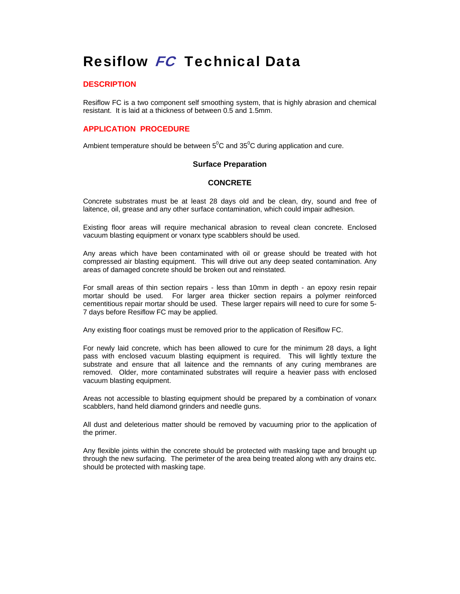# Resiflow FC Technical Data

## **DESCRIPTION**

Resiflow FC is a two component self smoothing system, that is highly abrasion and chemical resistant. It is laid at a thickness of between 0.5 and 1.5mm.

## **APPLICATION PROCEDURE**

Ambient temperature should be between  $5^0C$  and  $35^0C$  during application and cure.

## **Surface Preparation**

# **CONCRETE**

Concrete substrates must be at least 28 days old and be clean, dry, sound and free of laitence, oil, grease and any other surface contamination, which could impair adhesion.

Existing floor areas will require mechanical abrasion to reveal clean concrete. Enclosed vacuum blasting equipment or vonarx type scabblers should be used.

Any areas which have been contaminated with oil or grease should be treated with hot compressed air blasting equipment. This will drive out any deep seated contamination. Any areas of damaged concrete should be broken out and reinstated.

For small areas of thin section repairs - less than 10mm in depth - an epoxy resin repair mortar should be used. For larger area thicker section repairs a polymer reinforced cementitious repair mortar should be used. These larger repairs will need to cure for some 5- 7 days before Resiflow FC may be applied.

Any existing floor coatings must be removed prior to the application of Resiflow FC.

For newly laid concrete, which has been allowed to cure for the minimum 28 days, a light pass with enclosed vacuum blasting equipment is required. This will lightly texture the substrate and ensure that all laitence and the remnants of any curing membranes are removed. Older, more contaminated substrates will require a heavier pass with enclosed vacuum blasting equipment.

Areas not accessible to blasting equipment should be prepared by a combination of vonarx scabblers, hand held diamond grinders and needle guns.

All dust and deleterious matter should be removed by vacuuming prior to the application of the primer.

Any flexible joints within the concrete should be protected with masking tape and brought up through the new surfacing. The perimeter of the area being treated along with any drains etc. should be protected with masking tape.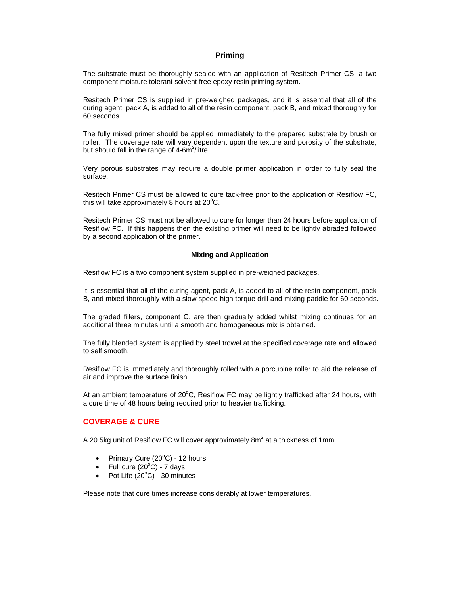## **Priming**

The substrate must be thoroughly sealed with an application of Resitech Primer CS, a two component moisture tolerant solvent free epoxy resin priming system.

Resitech Primer CS is supplied in pre-weighed packages, and it is essential that all of the curing agent, pack A, is added to all of the resin component, pack B, and mixed thoroughly for 60 seconds.

The fully mixed primer should be applied immediately to the prepared substrate by brush or roller. The coverage rate will vary dependent upon the texture and porosity of the substrate, but should fall in the range of 4-6m<sup>2</sup>/litre.

Very porous substrates may require a double primer application in order to fully seal the surface.

Resitech Primer CS must be allowed to cure tack-free prior to the application of Resiflow FC, this will take approximately 8 hours at  $20^{\circ}$ C.

Resitech Primer CS must not be allowed to cure for longer than 24 hours before application of Resiflow FC. If this happens then the existing primer will need to be lightly abraded followed by a second application of the primer.

#### **Mixing and Application**

Resiflow FC is a two component system supplied in pre-weighed packages.

It is essential that all of the curing agent, pack A, is added to all of the resin component, pack B, and mixed thoroughly with a slow speed high torque drill and mixing paddle for 60 seconds.

The graded fillers, component C, are then gradually added whilst mixing continues for an additional three minutes until a smooth and homogeneous mix is obtained.

The fully blended system is applied by steel trowel at the specified coverage rate and allowed to self smooth.

Resiflow FC is immediately and thoroughly rolled with a porcupine roller to aid the release of air and improve the surface finish.

At an ambient temperature of 20 $^{\circ}$ C, Resiflow FC may be lightly trafficked after 24 hours, with a cure time of 48 hours being required prior to heavier trafficking.

# **COVERAGE & CURE**

A 20.5kg unit of Resiflow FC will cover approximately 8m<sup>2</sup> at a thickness of 1mm.

- Primary Cure  $(20^{\circ}$ C) 12 hours
- Full cure  $(20^{\circ}C)$  7 days
- Pot Life  $(20^{\circ}C)$  30 minutes

Please note that cure times increase considerably at lower temperatures.